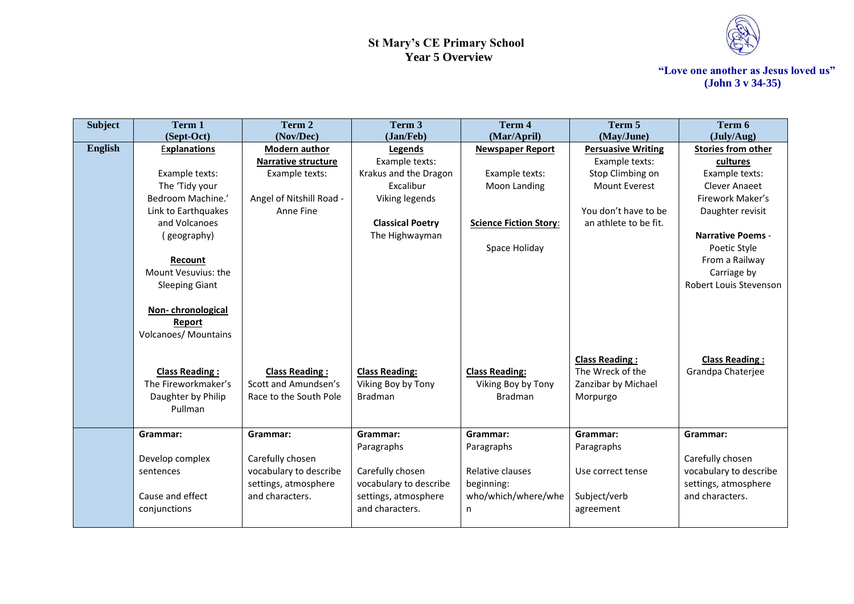

| <b>Subject</b> | Term 1                      | Term 2                   | Term 3                  | Term 4                        | Term 5                    | Term 6                    |
|----------------|-----------------------------|--------------------------|-------------------------|-------------------------------|---------------------------|---------------------------|
|                | (Sept-Oct)                  | (Nov/Dec)                | (Jan/Feb)               | (Mar/April)                   | (May/June)                | (July/Aug)                |
| <b>English</b> | <b>Explanations</b>         | Modern author            | Legends                 | <b>Newspaper Report</b>       | <b>Persuasive Writing</b> | <b>Stories from other</b> |
|                |                             | Narrative structure      | Example texts:          |                               | Example texts:            | cultures                  |
|                | Example texts:              | Example texts:           | Krakus and the Dragon   | Example texts:                | Stop Climbing on          | Example texts:            |
|                | The 'Tidy your              |                          | Excalibur               | Moon Landing                  | <b>Mount Everest</b>      | Clever Anaeet             |
|                | Bedroom Machine.'           | Angel of Nitshill Road - | Viking legends          |                               |                           | Firework Maker's          |
|                | Link to Earthquakes         | Anne Fine                |                         |                               | You don't have to be      | Daughter revisit          |
|                | and Volcanoes               |                          | <b>Classical Poetry</b> | <b>Science Fiction Story:</b> | an athlete to be fit.     |                           |
|                | (geography)                 |                          | The Highwayman          |                               |                           | <b>Narrative Poems -</b>  |
|                |                             |                          |                         | Space Holiday                 |                           | Poetic Style              |
|                | Recount                     |                          |                         |                               |                           | From a Railway            |
|                | Mount Vesuvius: the         |                          |                         |                               |                           | Carriage by               |
|                | <b>Sleeping Giant</b>       |                          |                         |                               |                           | Robert Louis Stevenson    |
|                |                             |                          |                         |                               |                           |                           |
|                | Non-chronological           |                          |                         |                               |                           |                           |
|                | Report                      |                          |                         |                               |                           |                           |
|                | <b>Volcanoes/ Mountains</b> |                          |                         |                               |                           |                           |
|                |                             |                          |                         |                               |                           |                           |
|                |                             |                          |                         |                               | <b>Class Reading:</b>     | <b>Class Reading:</b>     |
|                | <b>Class Reading:</b>       | <b>Class Reading:</b>    | <b>Class Reading:</b>   | <b>Class Reading:</b>         | The Wreck of the          | Grandpa Chaterjee         |
|                | The Fireworkmaker's         | Scott and Amundsen's     | Viking Boy by Tony      | Viking Boy by Tony            | Zanzibar by Michael       |                           |
|                | Daughter by Philip          | Race to the South Pole   | <b>Bradman</b>          | <b>Bradman</b>                | Morpurgo                  |                           |
|                | Pullman                     |                          |                         |                               |                           |                           |
|                |                             |                          |                         |                               |                           |                           |
|                | Grammar:                    | Grammar:                 | Grammar:                | Grammar:                      | Grammar:                  | Grammar:                  |
|                |                             |                          | Paragraphs              | Paragraphs                    | Paragraphs                |                           |
|                | Develop complex             | Carefully chosen         |                         |                               |                           | Carefully chosen          |
|                | sentences                   | vocabulary to describe   | Carefully chosen        | Relative clauses              | Use correct tense         | vocabulary to describe    |
|                |                             | settings, atmosphere     | vocabulary to describe  | beginning:                    |                           | settings, atmosphere      |
|                | Cause and effect            | and characters.          | settings, atmosphere    | who/which/where/whe           | Subject/verb              | and characters.           |
|                | conjunctions                |                          | and characters.         | n                             | agreement                 |                           |
|                |                             |                          |                         |                               |                           |                           |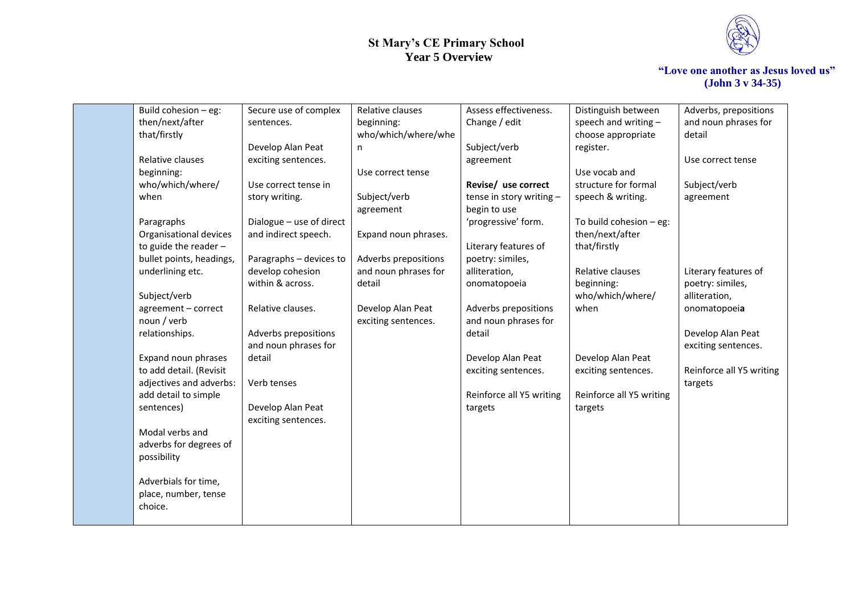

| Build cohesion - eg:     | Secure use of complex    | Relative clauses     | Assess effectiveness.    | Distinguish between       | Adverbs, prepositions    |
|--------------------------|--------------------------|----------------------|--------------------------|---------------------------|--------------------------|
| then/next/after          | sentences.               | beginning:           | Change / edit            | speech and writing $-$    | and noun phrases for     |
| that/firstly             |                          | who/which/where/whe  |                          | choose appropriate        | detail                   |
|                          | Develop Alan Peat        | n                    | Subject/verb             | register.                 |                          |
| Relative clauses         | exciting sentences.      |                      | agreement                |                           | Use correct tense        |
| beginning:               |                          | Use correct tense    |                          | Use vocab and             |                          |
| who/which/where/         | Use correct tense in     |                      | Revise/ use correct      | structure for formal      | Subject/verb             |
| when                     | story writing.           | Subject/verb         | tense in story writing - | speech & writing.         | agreement                |
|                          |                          | agreement            | begin to use             |                           |                          |
| Paragraphs               | Dialogue - use of direct |                      | 'progressive' form.      | To build cohesion $-$ eg: |                          |
| Organisational devices   | and indirect speech.     | Expand noun phrases. |                          | then/next/after           |                          |
| to guide the reader $-$  |                          |                      | Literary features of     | that/firstly              |                          |
| bullet points, headings, | Paragraphs - devices to  | Adverbs prepositions | poetry: similes,         |                           |                          |
| underlining etc.         | develop cohesion         | and noun phrases for | alliteration,            | Relative clauses          | Literary features of     |
|                          | within & across.         | detail               | onomatopoeia             | beginning:                | poetry: similes,         |
| Subject/verb             |                          |                      |                          | who/which/where/          | alliteration,            |
| agreement - correct      | Relative clauses.        | Develop Alan Peat    | Adverbs prepositions     | when                      | onomatopoeia             |
| noun / verb              |                          | exciting sentences.  | and noun phrases for     |                           |                          |
| relationships.           | Adverbs prepositions     |                      | detail                   |                           | Develop Alan Peat        |
|                          | and noun phrases for     |                      |                          |                           | exciting sentences.      |
| Expand noun phrases      | detail                   |                      | Develop Alan Peat        | Develop Alan Peat         |                          |
| to add detail. (Revisit  |                          |                      | exciting sentences.      | exciting sentences.       | Reinforce all Y5 writing |
| adjectives and adverbs:  | Verb tenses              |                      |                          |                           | targets                  |
| add detail to simple     |                          |                      | Reinforce all Y5 writing | Reinforce all Y5 writing  |                          |
| sentences)               | Develop Alan Peat        |                      | targets                  | targets                   |                          |
|                          | exciting sentences.      |                      |                          |                           |                          |
| Modal verbs and          |                          |                      |                          |                           |                          |
| adverbs for degrees of   |                          |                      |                          |                           |                          |
| possibility              |                          |                      |                          |                           |                          |
| Adverbials for time,     |                          |                      |                          |                           |                          |
| place, number, tense     |                          |                      |                          |                           |                          |
| choice.                  |                          |                      |                          |                           |                          |
|                          |                          |                      |                          |                           |                          |
|                          |                          |                      |                          |                           |                          |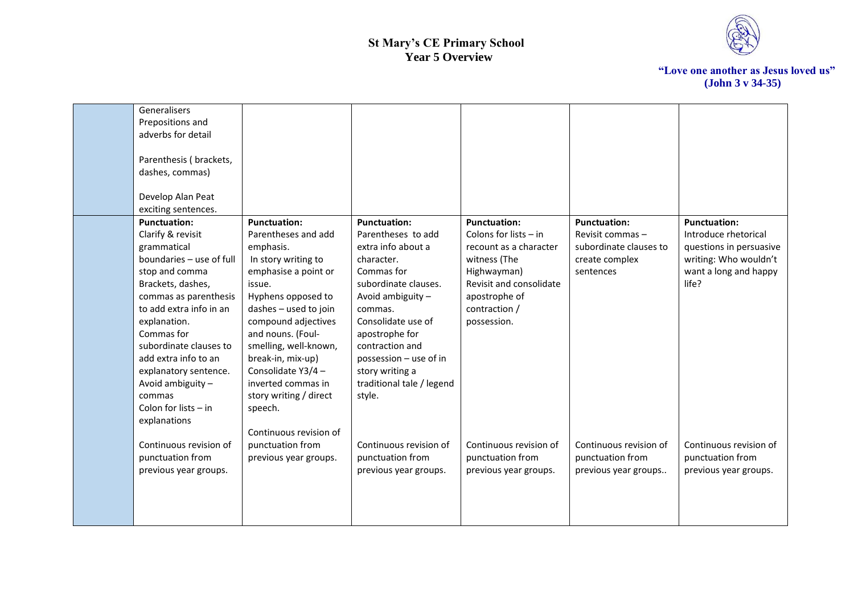

| Generalisers<br>Prepositions and<br>adverbs for detail<br>Parenthesis (brackets,<br>dashes, commas)<br>Develop Alan Peat<br>exciting sentences.                                                                                                                                                                                                                  |                                                                                                                                                                                                                                                                                                                                           |                                                                                                                                                                                                                                                                                                    |                                                                                                                                                                                     |                                                                                                  |                                                                                                                                   |
|------------------------------------------------------------------------------------------------------------------------------------------------------------------------------------------------------------------------------------------------------------------------------------------------------------------------------------------------------------------|-------------------------------------------------------------------------------------------------------------------------------------------------------------------------------------------------------------------------------------------------------------------------------------------------------------------------------------------|----------------------------------------------------------------------------------------------------------------------------------------------------------------------------------------------------------------------------------------------------------------------------------------------------|-------------------------------------------------------------------------------------------------------------------------------------------------------------------------------------|--------------------------------------------------------------------------------------------------|-----------------------------------------------------------------------------------------------------------------------------------|
| <b>Punctuation:</b><br>Clarify & revisit<br>grammatical<br>boundaries - use of full<br>stop and comma<br>Brackets, dashes,<br>commas as parenthesis<br>to add extra info in an<br>explanation.<br>Commas for<br>subordinate clauses to<br>add extra info to an<br>explanatory sentence.<br>Avoid ambiguity -<br>commas<br>Colon for lists $-$ in<br>explanations | <b>Punctuation:</b><br>Parentheses and add<br>emphasis.<br>In story writing to<br>emphasise a point or<br>issue.<br>Hyphens opposed to<br>dashes - used to join<br>compound adjectives<br>and nouns. (Foul-<br>smelling, well-known,<br>break-in, mix-up)<br>Consolidate Y3/4-<br>inverted commas in<br>story writing / direct<br>speech. | <b>Punctuation:</b><br>Parentheses to add<br>extra info about a<br>character.<br>Commas for<br>subordinate clauses.<br>Avoid ambiguity -<br>commas.<br>Consolidate use of<br>apostrophe for<br>contraction and<br>possession - use of in<br>story writing a<br>traditional tale / legend<br>style. | <b>Punctuation:</b><br>Colons for lists $-$ in<br>recount as a character<br>witness (The<br>Highwayman)<br>Revisit and consolidate<br>apostrophe of<br>contraction /<br>possession. | <b>Punctuation:</b><br>Revisit commas -<br>subordinate clauses to<br>create complex<br>sentences | <b>Punctuation:</b><br>Introduce rhetorical<br>questions in persuasive<br>writing: Who wouldn't<br>want a long and happy<br>life? |
| Continuous revision of<br>punctuation from<br>previous year groups.                                                                                                                                                                                                                                                                                              | Continuous revision of<br>punctuation from<br>previous year groups.                                                                                                                                                                                                                                                                       | Continuous revision of<br>punctuation from<br>previous year groups.                                                                                                                                                                                                                                | Continuous revision of<br>punctuation from<br>previous year groups.                                                                                                                 | Continuous revision of<br>punctuation from<br>previous year groups                               | Continuous revision of<br>punctuation from<br>previous year groups.                                                               |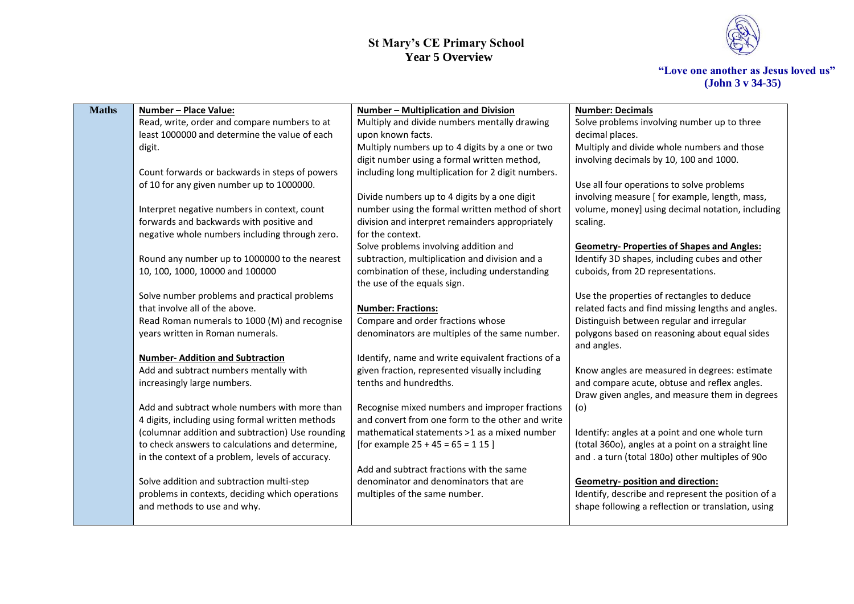

| <b>Maths</b> | Number - Place Value:                            | Number - Multiplication and Division               | <b>Number: Decimals</b>                                                                        |
|--------------|--------------------------------------------------|----------------------------------------------------|------------------------------------------------------------------------------------------------|
|              | Read, write, order and compare numbers to at     | Multiply and divide numbers mentally drawing       | Solve problems involving number up to three                                                    |
|              | least 1000000 and determine the value of each    | upon known facts.                                  | decimal places.                                                                                |
|              | digit.                                           | Multiply numbers up to 4 digits by a one or two    | Multiply and divide whole numbers and those                                                    |
|              |                                                  | digit number using a formal written method,        | involving decimals by 10, 100 and 1000.                                                        |
|              | Count forwards or backwards in steps of powers   | including long multiplication for 2 digit numbers. |                                                                                                |
|              | of 10 for any given number up to 1000000.        |                                                    | Use all four operations to solve problems                                                      |
|              |                                                  | Divide numbers up to 4 digits by a one digit       | involving measure [ for example, length, mass,                                                 |
|              | Interpret negative numbers in context, count     | number using the formal written method of short    | volume, money] using decimal notation, including                                               |
|              | forwards and backwards with positive and         | division and interpret remainders appropriately    | scaling.                                                                                       |
|              | negative whole numbers including through zero.   | for the context.                                   |                                                                                                |
|              |                                                  | Solve problems involving addition and              | <b>Geometry-Properties of Shapes and Angles:</b>                                               |
|              | Round any number up to 1000000 to the nearest    | subtraction, multiplication and division and a     | Identify 3D shapes, including cubes and other                                                  |
|              | 10, 100, 1000, 10000 and 100000                  | combination of these, including understanding      | cuboids, from 2D representations.                                                              |
|              |                                                  | the use of the equals sign.                        |                                                                                                |
|              | Solve number problems and practical problems     |                                                    | Use the properties of rectangles to deduce                                                     |
|              | that involve all of the above.                   | <b>Number: Fractions:</b>                          | related facts and find missing lengths and angles.                                             |
|              | Read Roman numerals to 1000 (M) and recognise    | Compare and order fractions whose                  | Distinguish between regular and irregular                                                      |
|              | years written in Roman numerals.                 | denominators are multiples of the same number.     | polygons based on reasoning about equal sides                                                  |
|              |                                                  |                                                    | and angles.                                                                                    |
|              | <b>Number-Addition and Subtraction</b>           | Identify, name and write equivalent fractions of a |                                                                                                |
|              | Add and subtract numbers mentally with           | given fraction, represented visually including     | Know angles are measured in degrees: estimate                                                  |
|              | increasingly large numbers.                      | tenths and hundredths.                             | and compare acute, obtuse and reflex angles.<br>Draw given angles, and measure them in degrees |
|              | Add and subtract whole numbers with more than    | Recognise mixed numbers and improper fractions     | (o)                                                                                            |
|              | 4 digits, including using formal written methods | and convert from one form to the other and write   |                                                                                                |
|              | (columnar addition and subtraction) Use rounding | mathematical statements >1 as a mixed number       | Identify: angles at a point and one whole turn                                                 |
|              | to check answers to calculations and determine,  | [for example $25 + 45 = 65 = 115$ ]                | (total 360o), angles at a point on a straight line                                             |
|              | in the context of a problem, levels of accuracy. |                                                    | and . a turn (total 180o) other multiples of 90o                                               |
|              |                                                  | Add and subtract fractions with the same           |                                                                                                |
|              | Solve addition and subtraction multi-step        | denominator and denominators that are              | <b>Geometry- position and direction:</b>                                                       |
|              | problems in contexts, deciding which operations  | multiples of the same number.                      | Identify, describe and represent the position of a                                             |
|              | and methods to use and why.                      |                                                    | shape following a reflection or translation, using                                             |
|              |                                                  |                                                    |                                                                                                |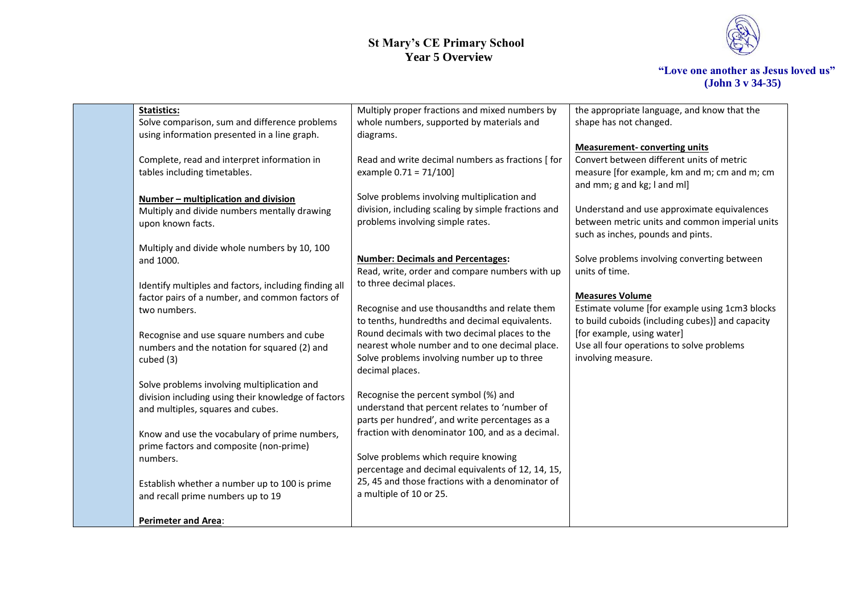

| <b>Statistics:</b>                                    | Multiply proper fractions and mixed numbers by      | the appropriate language, and know that the                                 |
|-------------------------------------------------------|-----------------------------------------------------|-----------------------------------------------------------------------------|
| Solve comparison, sum and difference problems         | whole numbers, supported by materials and           | shape has not changed.                                                      |
| using information presented in a line graph.          | diagrams.                                           |                                                                             |
|                                                       |                                                     | <b>Measurement-converting units</b>                                         |
| Complete, read and interpret information in           | Read and write decimal numbers as fractions [ for   | Convert between different units of metric                                   |
| tables including timetables.                          | example 0.71 = 71/100]                              | measure [for example, km and m; cm and m; cm<br>and mm; g and kg; I and ml] |
| Number - multiplication and division                  | Solve problems involving multiplication and         |                                                                             |
| Multiply and divide numbers mentally drawing          | division, including scaling by simple fractions and | Understand and use approximate equivalences                                 |
| upon known facts.                                     | problems involving simple rates.                    | between metric units and common imperial units                              |
|                                                       |                                                     | such as inches, pounds and pints.                                           |
| Multiply and divide whole numbers by 10, 100          |                                                     |                                                                             |
| and 1000.                                             | <b>Number: Decimals and Percentages:</b>            | Solve problems involving converting between                                 |
|                                                       | Read, write, order and compare numbers with up      | units of time.                                                              |
| Identify multiples and factors, including finding all | to three decimal places.                            |                                                                             |
| factor pairs of a number, and common factors of       |                                                     | <b>Measures Volume</b>                                                      |
| two numbers.                                          | Recognise and use thousandths and relate them       | Estimate volume [for example using 1cm3 blocks                              |
|                                                       | to tenths, hundredths and decimal equivalents.      | to build cuboids (including cubes)] and capacity                            |
| Recognise and use square numbers and cube             | Round decimals with two decimal places to the       | [for example, using water]                                                  |
| numbers and the notation for squared (2) and          | nearest whole number and to one decimal place.      | Use all four operations to solve problems                                   |
| cubed (3)                                             | Solve problems involving number up to three         | involving measure.                                                          |
|                                                       | decimal places.                                     |                                                                             |
| Solve problems involving multiplication and           |                                                     |                                                                             |
| division including using their knowledge of factors   | Recognise the percent symbol (%) and                |                                                                             |
| and multiples, squares and cubes.                     | understand that percent relates to 'number of       |                                                                             |
|                                                       | parts per hundred', and write percentages as a      |                                                                             |
| Know and use the vocabulary of prime numbers,         | fraction with denominator 100, and as a decimal.    |                                                                             |
| prime factors and composite (non-prime)               |                                                     |                                                                             |
| numbers.                                              | Solve problems which require knowing                |                                                                             |
|                                                       | percentage and decimal equivalents of 12, 14, 15,   |                                                                             |
| Establish whether a number up to 100 is prime         | 25, 45 and those fractions with a denominator of    |                                                                             |
| and recall prime numbers up to 19                     | a multiple of 10 or 25.                             |                                                                             |
|                                                       |                                                     |                                                                             |
| <b>Perimeter and Area:</b>                            |                                                     |                                                                             |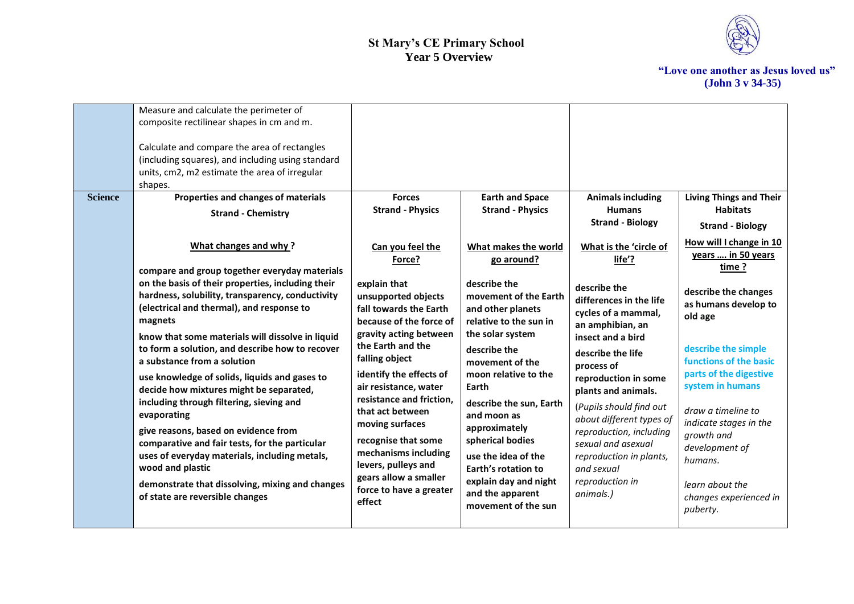

| <b>Science</b> | Measure and calculate the perimeter of<br>composite rectilinear shapes in cm and m.<br>Calculate and compare the area of rectangles<br>(including squares), and including using standard<br>units, cm2, m2 estimate the area of irregular<br>shapes.                                                                                                                                                                                                                                                                                                                                                                                                                                               | <b>Forces</b>                                                                                                                                                                                                                                                                                                                                                                            |                                                                                                                                                                                                                                                                                                                                                        |                                                                                                                                                                                                                                                                                                                                                                                                               |                                                                                                                                                                                                                                                                                                                                                                                  |
|----------------|----------------------------------------------------------------------------------------------------------------------------------------------------------------------------------------------------------------------------------------------------------------------------------------------------------------------------------------------------------------------------------------------------------------------------------------------------------------------------------------------------------------------------------------------------------------------------------------------------------------------------------------------------------------------------------------------------|------------------------------------------------------------------------------------------------------------------------------------------------------------------------------------------------------------------------------------------------------------------------------------------------------------------------------------------------------------------------------------------|--------------------------------------------------------------------------------------------------------------------------------------------------------------------------------------------------------------------------------------------------------------------------------------------------------------------------------------------------------|---------------------------------------------------------------------------------------------------------------------------------------------------------------------------------------------------------------------------------------------------------------------------------------------------------------------------------------------------------------------------------------------------------------|----------------------------------------------------------------------------------------------------------------------------------------------------------------------------------------------------------------------------------------------------------------------------------------------------------------------------------------------------------------------------------|
|                | Properties and changes of materials<br><b>Strand - Chemistry</b><br>What changes and why?<br>compare and group together everyday materials<br>on the basis of their properties, including their<br>hardness, solubility, transparency, conductivity<br>(electrical and thermal), and response to<br>magnets<br>know that some materials will dissolve in liquid<br>to form a solution, and describe how to recover<br>a substance from a solution<br>use knowledge of solids, liquids and gases to<br>decide how mixtures might be separated,<br>including through filtering, sieving and<br>evaporating<br>give reasons, based on evidence from<br>comparative and fair tests, for the particular | <b>Strand - Physics</b><br>Can you feel the<br>Force?<br>explain that<br>unsupported objects<br>fall towards the Earth<br>because of the force of<br>gravity acting between<br>the Earth and the<br>falling object<br>identify the effects of<br>air resistance, water<br>resistance and friction,<br>that act between<br>moving surfaces<br>recognise that some<br>mechanisms including | <b>Earth and Space</b><br><b>Strand - Physics</b><br>What makes the world<br>go around?<br>describe the<br>movement of the Earth<br>and other planets<br>relative to the sun in<br>the solar system<br>describe the<br>movement of the<br>moon relative to the<br>Earth<br>describe the sun, Earth<br>and moon as<br>approximately<br>spherical bodies | <b>Animals including</b><br><b>Humans</b><br><b>Strand - Biology</b><br>What is the 'circle of<br>life'?<br>describe the<br>differences in the life<br>cycles of a mammal,<br>an amphibian, an<br>insect and a bird<br>describe the life<br>process of<br>reproduction in some<br>plants and animals.<br>(Pupils should find out<br>about different types of<br>reproduction, including<br>sexual and asexual | <b>Living Things and Their</b><br><b>Habitats</b><br><b>Strand - Biology</b><br>How will I change in 10<br>years  in 50 years<br>time?<br>describe the changes<br>as humans develop to<br>old age<br>describe the simple<br>functions of the basic<br>parts of the digestive<br>system in humans<br>draw a timeline to<br>indicate stages in the<br>growth and<br>development of |
|                | uses of everyday materials, including metals,<br>wood and plastic<br>demonstrate that dissolving, mixing and changes<br>of state are reversible changes                                                                                                                                                                                                                                                                                                                                                                                                                                                                                                                                            | levers, pulleys and<br>gears allow a smaller<br>force to have a greater<br>effect                                                                                                                                                                                                                                                                                                        | use the idea of the<br>Earth's rotation to<br>explain day and night<br>and the apparent<br>movement of the sun                                                                                                                                                                                                                                         | reproduction in plants,<br>and sexual<br>reproduction in<br>animals.)                                                                                                                                                                                                                                                                                                                                         | humans.<br>learn about the<br>changes experienced in<br>puberty.                                                                                                                                                                                                                                                                                                                 |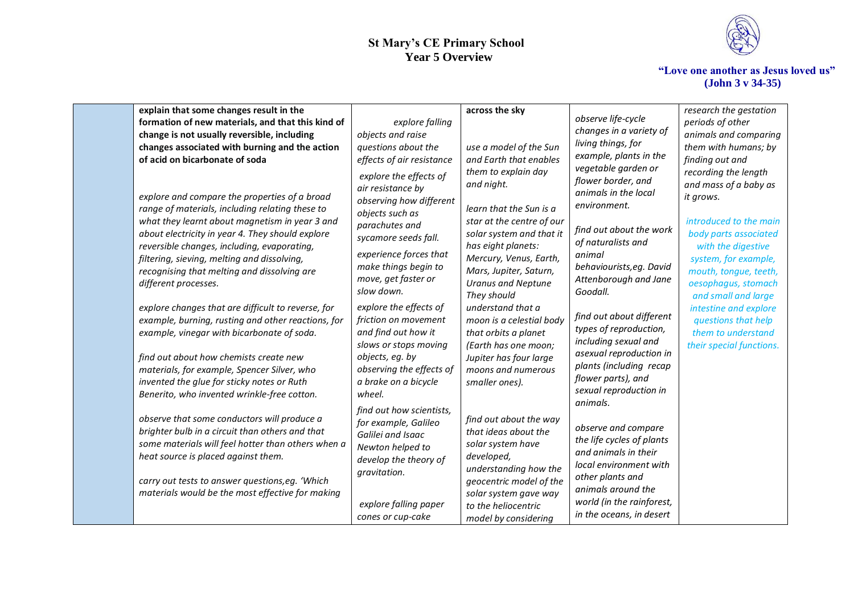

| explain that some changes result in the                                                                                                                                                                                                                                                                                                                                     |                                                                                                                                                                                                                            | across the sky                                                                                                                                                                                                                              |                                                                                                                                                                                                                   | research the gestation                                                                                                                                                                                                             |
|-----------------------------------------------------------------------------------------------------------------------------------------------------------------------------------------------------------------------------------------------------------------------------------------------------------------------------------------------------------------------------|----------------------------------------------------------------------------------------------------------------------------------------------------------------------------------------------------------------------------|---------------------------------------------------------------------------------------------------------------------------------------------------------------------------------------------------------------------------------------------|-------------------------------------------------------------------------------------------------------------------------------------------------------------------------------------------------------------------|------------------------------------------------------------------------------------------------------------------------------------------------------------------------------------------------------------------------------------|
| formation of new materials, and that this kind of                                                                                                                                                                                                                                                                                                                           | explore falling                                                                                                                                                                                                            |                                                                                                                                                                                                                                             | observe life-cycle                                                                                                                                                                                                | periods of other                                                                                                                                                                                                                   |
| change is not usually reversible, including                                                                                                                                                                                                                                                                                                                                 | objects and raise                                                                                                                                                                                                          |                                                                                                                                                                                                                                             | changes in a variety of                                                                                                                                                                                           | animals and comparing                                                                                                                                                                                                              |
| changes associated with burning and the action                                                                                                                                                                                                                                                                                                                              | questions about the                                                                                                                                                                                                        | use a model of the Sun                                                                                                                                                                                                                      | living things, for                                                                                                                                                                                                | them with humans; by                                                                                                                                                                                                               |
| of acid on bicarbonate of soda                                                                                                                                                                                                                                                                                                                                              | effects of air resistance                                                                                                                                                                                                  | and Earth that enables                                                                                                                                                                                                                      | example, plants in the                                                                                                                                                                                            | finding out and                                                                                                                                                                                                                    |
| explore and compare the properties of a broad<br>range of materials, including relating these to<br>what they learnt about magnetism in year 3 and<br>about electricity in year 4. They should explore<br>reversible changes, including, evaporating,<br>filtering, sieving, melting and dissolving,<br>recognising that melting and dissolving are<br>different processes. | explore the effects of<br>air resistance by<br>observing how different<br>objects such as<br>parachutes and<br>sycamore seeds fall.<br>experience forces that<br>make things begin to<br>move, get faster or<br>slow down. | them to explain day<br>and night.<br>learn that the Sun is a<br>star at the centre of our<br>solar system and that it<br>has eight planets:<br>Mercury, Venus, Earth,<br>Mars, Jupiter, Saturn,<br><b>Uranus and Neptune</b><br>They should | vegetable garden or<br>flower border, and<br>animals in the local<br>environment.<br>find out about the work<br>of naturalists and<br>animal<br>behaviourists, eg. David<br>Attenborough and Jane<br>Goodall.     | recording the length<br>and mass of a baby as<br>it grows.<br>introduced to the main<br>body parts associated<br>with the digestive<br>system, for example,<br>mouth, tongue, teeth,<br>oesophagus, stomach<br>and small and large |
| explore changes that are difficult to reverse, for<br>example, burning, rusting and other reactions, for<br>example, vinegar with bicarbonate of soda.<br>find out about how chemists create new<br>materials, for example, Spencer Silver, who<br>invented the glue for sticky notes or Ruth<br>Benerito, who invented wrinkle-free cotton.                                | explore the effects of<br>friction on movement<br>and find out how it<br>slows or stops moving<br>objects, eg. by<br>observing the effects of<br>a brake on a bicycle<br>wheel.                                            | understand that a<br>moon is a celestial body<br>that orbits a planet<br>(Earth has one moon;<br>Jupiter has four large<br>moons and numerous<br>smaller ones).                                                                             | find out about different<br>types of reproduction,<br>including sexual and<br>asexual reproduction in<br>plants (including recap<br>flower parts), and<br>sexual reproduction in                                  | intestine and explore<br>questions that help<br>them to understand<br>their special functions.                                                                                                                                     |
| observe that some conductors will produce a<br>brighter bulb in a circuit than others and that<br>some materials will feel hotter than others when a<br>heat source is placed against them.<br>carry out tests to answer questions, eg. 'Which<br>materials would be the most effective for making                                                                          | find out how scientists,<br>for example, Galileo<br>Galilei and Isaac<br>Newton helped to<br>develop the theory of<br>gravitation.<br>explore falling paper<br>cones or cup-cake                                           | find out about the way<br>that ideas about the<br>solar system have<br>developed,<br>understanding how the<br>geocentric model of the<br>solar system gave way<br>to the heliocentric<br>model by considering                               | animals.<br>observe and compare<br>the life cycles of plants<br>and animals in their<br>local environment with<br>other plants and<br>animals around the<br>world (in the rainforest,<br>in the oceans, in desert |                                                                                                                                                                                                                                    |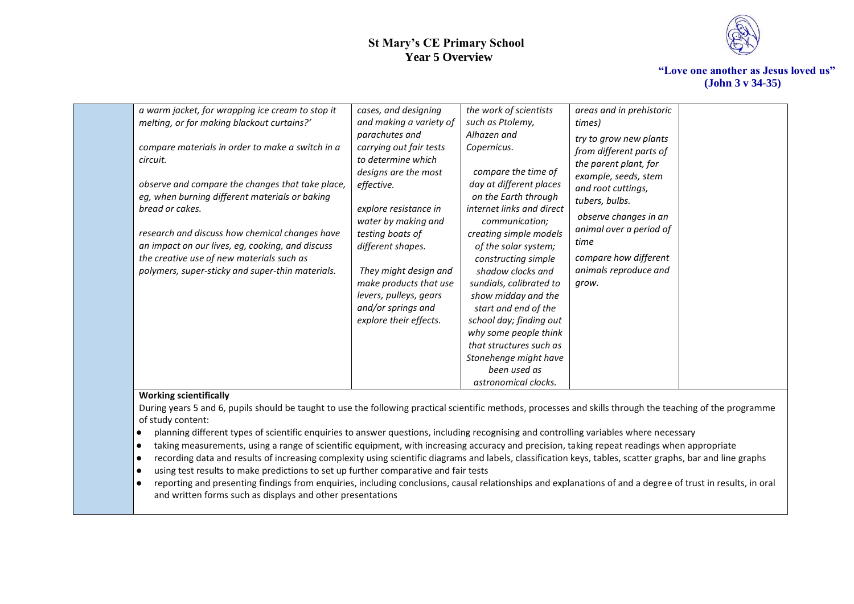

**"Love one another as Jesus loved us" (John 3 v 34-35)**

| a warm jacket, for wrapping ice cream to stop it<br>melting, or for making blackout curtains?'<br>compare materials in order to make a switch in a<br>circuit.<br>observe and compare the changes that take place,<br>eg, when burning different materials or baking<br>bread or cakes.<br>research and discuss how chemical changes have<br>an impact on our lives, eg, cooking, and discuss<br>the creative use of new materials such as<br>polymers, super-sticky and super-thin materials. | cases, and designing<br>and making a variety of<br>parachutes and<br>carrying out fair tests<br>to determine which<br>designs are the most<br>effective.<br>explore resistance in<br>water by making and<br>testing boats of<br>different shapes.<br>They might design and<br>make products that use<br>levers, pulleys, gears<br>and/or springs and<br>explore their effects. | the work of scientists<br>such as Ptolemy,<br>Alhazen and<br>Copernicus.<br>compare the time of<br>day at different places<br>on the Earth through<br>internet links and direct<br>communication;<br>creating simple models<br>of the solar system;<br>constructing simple<br>shadow clocks and<br>sundials, calibrated to<br>show midday and the<br>start and end of the<br>school day; finding out | areas and in prehistoric<br>times)<br>try to grow new plants<br>from different parts of<br>the parent plant, for<br>example, seeds, stem<br>and root cuttings,<br>tubers, bulbs.<br>observe changes in an<br>animal over a period of<br>time<br>compare how different<br>animals reproduce and<br>grow. |  |
|------------------------------------------------------------------------------------------------------------------------------------------------------------------------------------------------------------------------------------------------------------------------------------------------------------------------------------------------------------------------------------------------------------------------------------------------------------------------------------------------|--------------------------------------------------------------------------------------------------------------------------------------------------------------------------------------------------------------------------------------------------------------------------------------------------------------------------------------------------------------------------------|------------------------------------------------------------------------------------------------------------------------------------------------------------------------------------------------------------------------------------------------------------------------------------------------------------------------------------------------------------------------------------------------------|---------------------------------------------------------------------------------------------------------------------------------------------------------------------------------------------------------------------------------------------------------------------------------------------------------|--|
|                                                                                                                                                                                                                                                                                                                                                                                                                                                                                                |                                                                                                                                                                                                                                                                                                                                                                                |                                                                                                                                                                                                                                                                                                                                                                                                      |                                                                                                                                                                                                                                                                                                         |  |
|                                                                                                                                                                                                                                                                                                                                                                                                                                                                                                |                                                                                                                                                                                                                                                                                                                                                                                | why some people think<br>that structures such as<br>Stonehenge might have<br>been used as<br>astronomical clocks.                                                                                                                                                                                                                                                                                    |                                                                                                                                                                                                                                                                                                         |  |

#### **Working scientifically**

During years 5 and 6, pupils should be taught to use the following practical scientific methods, processes and skills through the teaching of the programme of study content:

- planning different types of scientific enquiries to answer questions, including recognising and controlling variables where necessary
- taking measurements, using a range of scientific equipment, with increasing accuracy and precision, taking repeat readings when appropriate
- recording data and results of increasing complexity using scientific diagrams and labels, classification keys, tables, scatter graphs, bar and line graphs
- using test results to make predictions to set up further comparative and fair tests
- reporting and presenting findings from enquiries, including conclusions, causal relationships and explanations of and a degree of trust in results, in oral and written forms such as displays and other presentations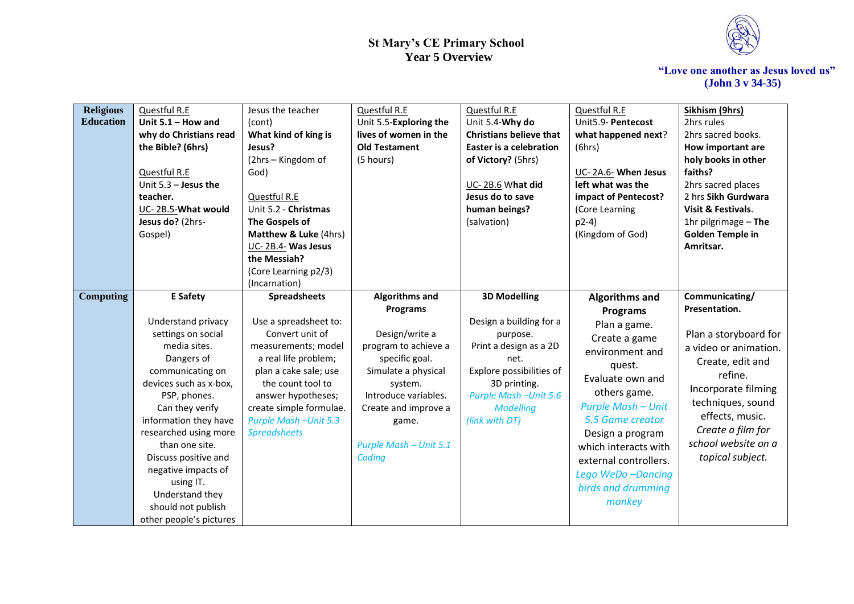

| <b>Religious</b><br><b>Education</b> | Questful R.E<br>Unit $5.1 -$ How and | Jesus the teacher             | Questful R.E           | Questful R.E                   | Questful R.E<br>Unit5.9- Pentecost | Sikhism (9hrs)<br>2hrs rules |
|--------------------------------------|--------------------------------------|-------------------------------|------------------------|--------------------------------|------------------------------------|------------------------------|
|                                      |                                      | (cont)                        | Unit 5.5-Exploring the | Unit 5.4-Why do                |                                    |                              |
|                                      | why do Christians read               | What kind of king is          | lives of women in the  | <b>Christians believe that</b> | what happened next?                | 2hrs sacred books.           |
|                                      | the Bible? (6hrs)                    | Jesus?                        | <b>Old Testament</b>   | <b>Easter is a celebration</b> | (6hrs)                             | How important are            |
|                                      |                                      | (2hrs - Kingdom of            | (5 hours)              | of Victory? (5hrs)             |                                    | holy books in other          |
|                                      | Questful R.E                         | God)                          |                        |                                | UC-2A.6- When Jesus                | faiths?                      |
|                                      | Unit $5.3$ - Jesus the               |                               |                        | UC-2B.6 What did               | left what was the                  | 2hrs sacred places           |
|                                      | teacher.                             | Questful R.E                  |                        | Jesus do to save               | impact of Pentecost?               | 2 hrs Sikh Gurdwara          |
|                                      | UC-2B.5-What would                   | Unit 5.2 - Christmas          |                        | human beings?                  | (Core Learning                     | Visit & Festivals.           |
|                                      | Jesus do? (2hrs-                     | The Gospels of                |                        | (salvation)                    | $p2-4)$                            | 1hr pilgrimage $-$ The       |
|                                      | Gospel)                              | Matthew & Luke (4hrs)         |                        |                                | (Kingdom of God)                   | <b>Golden Temple in</b>      |
|                                      |                                      | UC-2B.4- Was Jesus            |                        |                                |                                    | Amritsar.                    |
|                                      |                                      | the Messiah?                  |                        |                                |                                    |                              |
|                                      |                                      | (Core Learning p2/3)          |                        |                                |                                    |                              |
|                                      |                                      | (Incarnation)                 |                        |                                |                                    |                              |
| <b>Computing</b>                     | <b>E</b> Safety                      | <b>Spreadsheets</b>           | <b>Algorithms and</b>  | <b>3D Modelling</b>            | <b>Algorithms and</b>              | Communicating/               |
|                                      |                                      |                               | <b>Programs</b>        |                                | <b>Programs</b>                    | Presentation.                |
|                                      | Understand privacy                   | Use a spreadsheet to:         |                        | Design a building for a        | Plan a game.                       |                              |
|                                      | settings on social                   | Convert unit of               | Design/write a         | purpose.                       | Create a game                      | Plan a storyboard for        |
|                                      | media sites.                         | measurements; model           | program to achieve a   | Print a design as a 2D         | environment and                    | a video or animation.        |
|                                      | Dangers of                           | a real life problem;          | specific goal.         | net.                           | quest.                             | Create, edit and             |
|                                      | communicating on                     | plan a cake sale; use         | Simulate a physical    | Explore possibilities of       | Evaluate own and                   | refine.                      |
|                                      | devices such as x-box,               | the count tool to             | system.                | 3D printing.                   | others game.                       | Incorporate filming          |
|                                      | PSP, phones.                         | answer hypotheses;            | Introduce variables.   | <b>Purple Mash - Unit 5.6</b>  | <b>Purple Mash - Unit</b>          | techniques, sound            |
|                                      | Can they verify                      | create simple formulae.       | Create and improve a   | <b>Modelling</b>               |                                    | effects, music.              |
|                                      | information they have                | <b>Purple Mash - Unit 5.3</b> | game.                  | (link with DT)                 | 5.5 Game creator                   | Create a film for            |
|                                      | researched using more                | <b>Spreadsheets</b>           |                        |                                | Design a program                   | school website on a          |
|                                      | than one site.                       |                               | Purple Mash - Unit 5.1 |                                | which interacts with               |                              |
|                                      | Discuss positive and                 |                               | Coding                 |                                | external controllers.              | topical subject.             |
|                                      | negative impacts of                  |                               |                        |                                | Lego WeDo-Dancing                  |                              |
|                                      | using IT.                            |                               |                        |                                | birds and drumming                 |                              |
|                                      | Understand they                      |                               |                        |                                | monkey                             |                              |
|                                      | should not publish                   |                               |                        |                                |                                    |                              |
|                                      | other people's pictures              |                               |                        |                                |                                    |                              |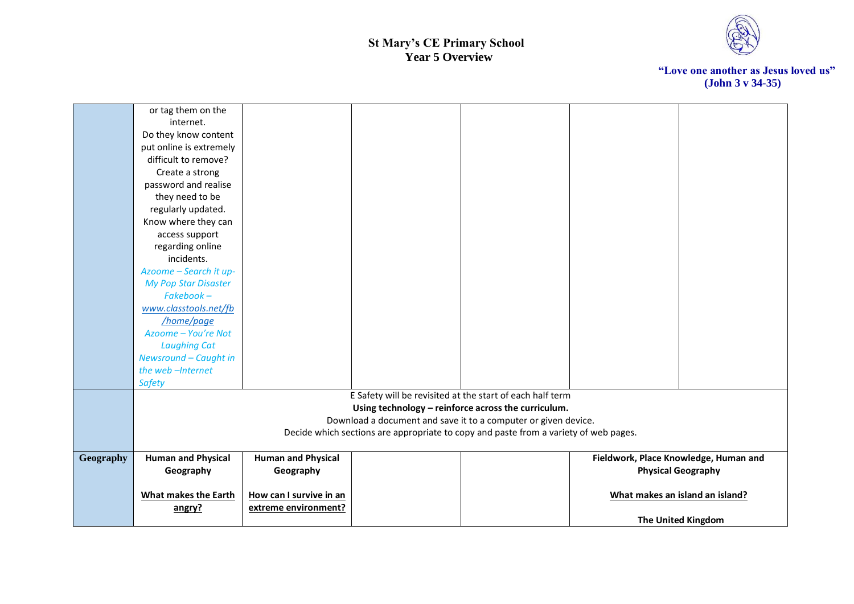

|           | or tag them on the          |                           |                                                                                      |                                       |
|-----------|-----------------------------|---------------------------|--------------------------------------------------------------------------------------|---------------------------------------|
|           | internet.                   |                           |                                                                                      |                                       |
|           | Do they know content        |                           |                                                                                      |                                       |
|           | put online is extremely     |                           |                                                                                      |                                       |
|           | difficult to remove?        |                           |                                                                                      |                                       |
|           | Create a strong             |                           |                                                                                      |                                       |
|           | password and realise        |                           |                                                                                      |                                       |
|           | they need to be             |                           |                                                                                      |                                       |
|           | regularly updated.          |                           |                                                                                      |                                       |
|           | Know where they can         |                           |                                                                                      |                                       |
|           | access support              |                           |                                                                                      |                                       |
|           | regarding online            |                           |                                                                                      |                                       |
|           | incidents.                  |                           |                                                                                      |                                       |
|           | Azoome - Search it up-      |                           |                                                                                      |                                       |
|           | <b>My Pop Star Disaster</b> |                           |                                                                                      |                                       |
|           | $Fakebook -$                |                           |                                                                                      |                                       |
|           | www.classtools.net/fb       |                           |                                                                                      |                                       |
|           | /home/page                  |                           |                                                                                      |                                       |
|           | Azoome - You're Not         |                           |                                                                                      |                                       |
|           | <b>Laughing Cat</b>         |                           |                                                                                      |                                       |
|           | Newsround - Caught in       |                           |                                                                                      |                                       |
|           | the web-Internet            |                           |                                                                                      |                                       |
|           | <b>Safety</b>               |                           |                                                                                      |                                       |
|           |                             |                           | E Safety will be revisited at the start of each half term                            |                                       |
|           |                             |                           | Using technology - reinforce across the curriculum.                                  |                                       |
|           |                             |                           | Download a document and save it to a computer or given device.                       |                                       |
|           |                             |                           | Decide which sections are appropriate to copy and paste from a variety of web pages. |                                       |
| Geography | <b>Human and Physical</b>   | <b>Human and Physical</b> |                                                                                      | Fieldwork, Place Knowledge, Human and |
|           | Geography                   | Geography                 |                                                                                      | <b>Physical Geography</b>             |
|           |                             |                           |                                                                                      |                                       |
|           | <b>What makes the Earth</b> | How can I survive in an   |                                                                                      | What makes an island an island?       |
|           | angry?                      | extreme environment?      |                                                                                      |                                       |
|           |                             |                           |                                                                                      | <b>The United Kingdom</b>             |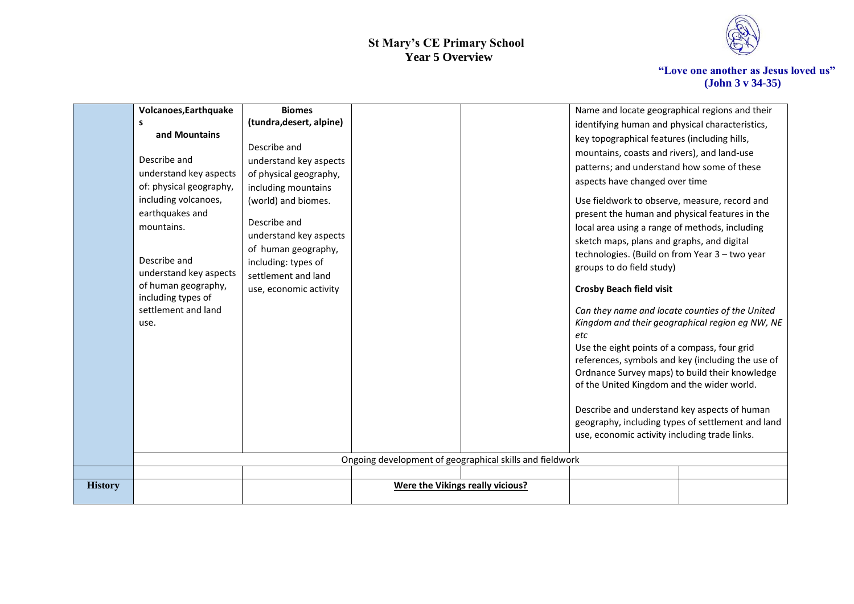

|                | Volcanoes, Earthquake   | <b>Biomes</b>            |                                                          | Name and locate geographical regions and their    |                                                   |
|----------------|-------------------------|--------------------------|----------------------------------------------------------|---------------------------------------------------|---------------------------------------------------|
|                | s                       | (tundra, desert, alpine) |                                                          | identifying human and physical characteristics,   |                                                   |
|                | and Mountains           |                          |                                                          | key topographical features (including hills,      |                                                   |
|                |                         | Describe and             |                                                          | mountains, coasts and rivers), and land-use       |                                                   |
|                | Describe and            | understand key aspects   |                                                          | patterns; and understand how some of these        |                                                   |
|                | understand key aspects  | of physical geography,   |                                                          | aspects have changed over time                    |                                                   |
|                | of: physical geography, | including mountains      |                                                          |                                                   |                                                   |
|                | including volcanoes,    | (world) and biomes.      |                                                          | Use fieldwork to observe, measure, record and     |                                                   |
|                | earthquakes and         | Describe and             |                                                          | present the human and physical features in the    |                                                   |
|                | mountains.              | understand key aspects   |                                                          | local area using a range of methods, including    |                                                   |
|                |                         | of human geography,      |                                                          | sketch maps, plans and graphs, and digital        |                                                   |
|                | Describe and            | including: types of      |                                                          | technologies. (Build on from Year 3 - two year    |                                                   |
|                | understand key aspects  | settlement and land      |                                                          | groups to do field study)                         |                                                   |
|                | of human geography,     | use, economic activity   |                                                          | <b>Crosby Beach field visit</b>                   |                                                   |
|                | including types of      |                          |                                                          |                                                   |                                                   |
|                | settlement and land     |                          |                                                          | Can they name and locate counties of the United   |                                                   |
|                | use.                    |                          |                                                          |                                                   | Kingdom and their geographical region eg NW, NE   |
|                |                         |                          |                                                          | etc                                               |                                                   |
|                |                         |                          |                                                          | Use the eight points of a compass, four grid      |                                                   |
|                |                         |                          |                                                          | references, symbols and key (including the use of |                                                   |
|                |                         |                          |                                                          | Ordnance Survey maps) to build their knowledge    |                                                   |
|                |                         |                          |                                                          | of the United Kingdom and the wider world.        |                                                   |
|                |                         |                          |                                                          | Describe and understand key aspects of human      |                                                   |
|                |                         |                          |                                                          |                                                   | geography, including types of settlement and land |
|                |                         |                          |                                                          | use, economic activity including trade links.     |                                                   |
|                |                         |                          |                                                          |                                                   |                                                   |
|                |                         |                          | Ongoing development of geographical skills and fieldwork |                                                   |                                                   |
|                |                         |                          |                                                          |                                                   |                                                   |
| <b>History</b> |                         |                          | Were the Vikings really vicious?                         |                                                   |                                                   |
|                |                         |                          |                                                          |                                                   |                                                   |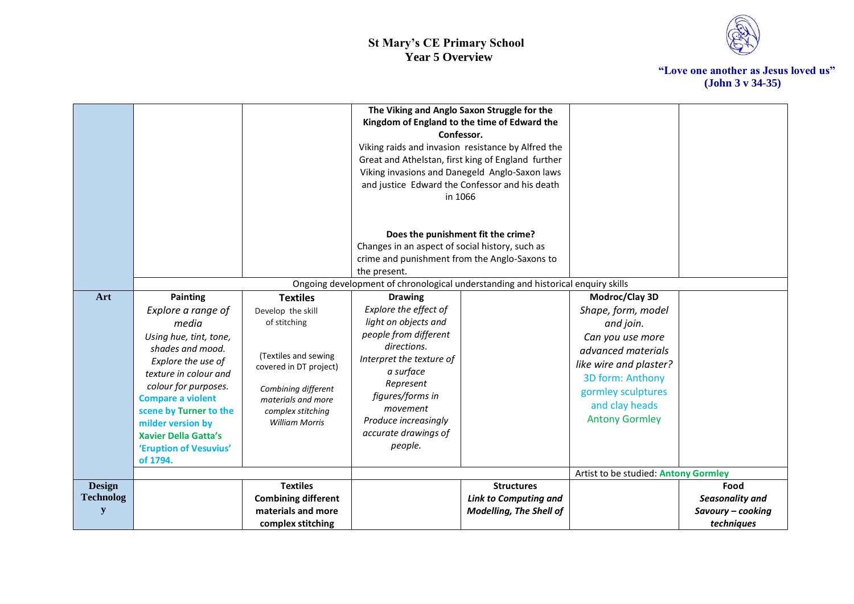

|                                        |                                                                                                                                                                                                                                                                                                  |                                                                                                                                                                                | The Viking and Anglo Saxon Struggle for the<br>Kingdom of England to the time of Edward the<br>Confessor.<br>Viking raids and invasion resistance by Alfred the<br>Great and Athelstan, first king of England further<br>Viking invasions and Danegeld Anglo-Saxon laws<br>and justice Edward the Confessor and his death<br>in 1066 |                                                                                     |                                                                                                                                                                                          |                                                            |
|----------------------------------------|--------------------------------------------------------------------------------------------------------------------------------------------------------------------------------------------------------------------------------------------------------------------------------------------------|--------------------------------------------------------------------------------------------------------------------------------------------------------------------------------|--------------------------------------------------------------------------------------------------------------------------------------------------------------------------------------------------------------------------------------------------------------------------------------------------------------------------------------|-------------------------------------------------------------------------------------|------------------------------------------------------------------------------------------------------------------------------------------------------------------------------------------|------------------------------------------------------------|
|                                        |                                                                                                                                                                                                                                                                                                  |                                                                                                                                                                                | Does the punishment fit the crime?<br>Changes in an aspect of social history, such as<br>crime and punishment from the Anglo-Saxons to<br>the present.                                                                                                                                                                               |                                                                                     |                                                                                                                                                                                          |                                                            |
|                                        |                                                                                                                                                                                                                                                                                                  |                                                                                                                                                                                | Ongoing development of chronological understanding and historical enquiry skills                                                                                                                                                                                                                                                     |                                                                                     |                                                                                                                                                                                          |                                                            |
| Art                                    | <b>Painting</b>                                                                                                                                                                                                                                                                                  | <b>Textiles</b>                                                                                                                                                                | <b>Drawing</b>                                                                                                                                                                                                                                                                                                                       |                                                                                     | Modroc/Clay 3D                                                                                                                                                                           |                                                            |
|                                        | Explore a range of<br>media<br>Using hue, tint, tone,<br>shades and mood.<br>Explore the use of<br>texture in colour and<br>colour for purposes.<br><b>Compare a violent</b><br>scene by Turner to the<br>milder version by<br><b>Xavier Della Gatta's</b><br>'Eruption of Vesuvius'<br>of 1794. | Develop the skill<br>of stitching<br>(Textiles and sewing<br>covered in DT project)<br>Combining different<br>materials and more<br>complex stitching<br><b>William Morris</b> | Explore the effect of<br>light on objects and<br>people from different<br>directions.<br>Interpret the texture of<br>a surface<br>Represent<br>figures/forms in<br>movement<br>Produce increasingly<br>accurate drawings of<br>people.                                                                                               |                                                                                     | Shape, form, model<br>and join.<br>Can you use more<br>advanced materials<br>like wire and plaster?<br>3D form: Anthony<br>gormley sculptures<br>and clay heads<br><b>Antony Gormley</b> |                                                            |
|                                        |                                                                                                                                                                                                                                                                                                  |                                                                                                                                                                                |                                                                                                                                                                                                                                                                                                                                      |                                                                                     | Artist to be studied: Antony Gormley                                                                                                                                                     |                                                            |
| <b>Design</b><br><b>Technolog</b><br>y |                                                                                                                                                                                                                                                                                                  | <b>Textiles</b><br><b>Combining different</b><br>materials and more<br>complex stitching                                                                                       |                                                                                                                                                                                                                                                                                                                                      | <b>Structures</b><br><b>Link to Computing and</b><br><b>Modelling, The Shell of</b> |                                                                                                                                                                                          | Food<br>Seasonality and<br>Savoury - cooking<br>techniques |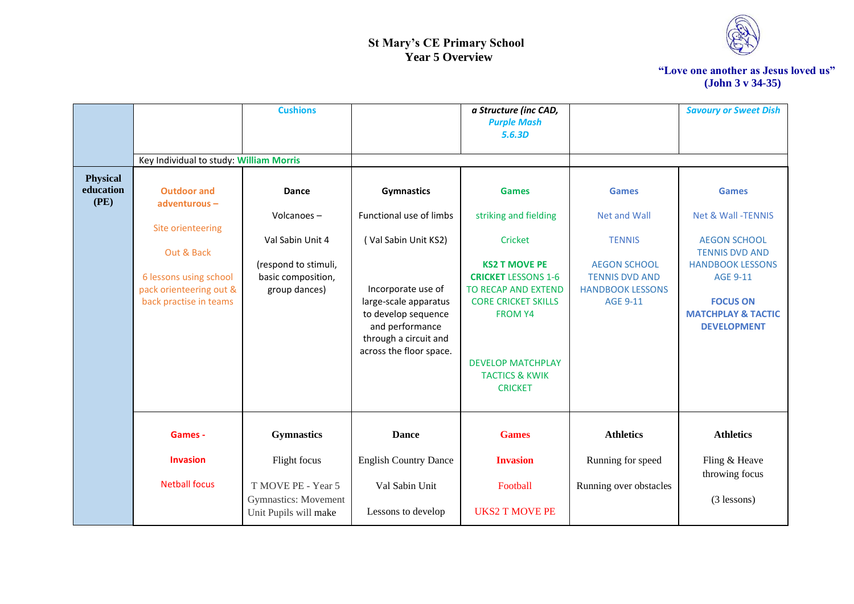

|                                      |                                                                             | <b>Cushions</b>                                             |                                                                                                                                           | a Structure (inc CAD,<br><b>Purple Mash</b><br>5.6.3D                                                                                                                                                |                                                                                            | <b>Savoury or Sweet Dish</b>                                                                                         |
|--------------------------------------|-----------------------------------------------------------------------------|-------------------------------------------------------------|-------------------------------------------------------------------------------------------------------------------------------------------|------------------------------------------------------------------------------------------------------------------------------------------------------------------------------------------------------|--------------------------------------------------------------------------------------------|----------------------------------------------------------------------------------------------------------------------|
|                                      | Key Individual to study: William Morris                                     |                                                             |                                                                                                                                           |                                                                                                                                                                                                      |                                                                                            |                                                                                                                      |
| <b>Physical</b><br>education<br>(PE) | <b>Outdoor and</b><br>adventurous-                                          | Dance                                                       | <b>Gymnastics</b>                                                                                                                         | <b>Games</b>                                                                                                                                                                                         | <b>Games</b>                                                                               | <b>Games</b>                                                                                                         |
|                                      |                                                                             | Volcanoes-                                                  | Functional use of limbs                                                                                                                   | striking and fielding                                                                                                                                                                                | <b>Net and Wall</b>                                                                        | <b>Net &amp; Wall-TENNIS</b>                                                                                         |
|                                      | Site orienteering<br>Out & Back                                             | Val Sabin Unit 4                                            | (Val Sabin Unit KS2)                                                                                                                      | Cricket                                                                                                                                                                                              | <b>TENNIS</b>                                                                              | <b>AEGON SCHOOL</b><br><b>TENNIS DVD AND</b>                                                                         |
|                                      | 6 lessons using school<br>pack orienteering out &<br>back practise in teams | (respond to stimuli,<br>basic composition,<br>group dances) | Incorporate use of<br>large-scale apparatus<br>to develop sequence<br>and performance<br>through a circuit and<br>across the floor space. | <b>KS2 T MOVE PE</b><br><b>CRICKET LESSONS 1-6</b><br>TO RECAP AND EXTEND<br><b>CORE CRICKET SKILLS</b><br><b>FROM Y4</b><br><b>DEVELOP MATCHPLAY</b><br><b>TACTICS &amp; KWIK</b><br><b>CRICKET</b> | <b>AEGON SCHOOL</b><br><b>TENNIS DVD AND</b><br><b>HANDBOOK LESSONS</b><br><b>AGE 9-11</b> | <b>HANDBOOK LESSONS</b><br><b>AGE 9-11</b><br><b>FOCUS ON</b><br><b>MATCHPLAY &amp; TACTIC</b><br><b>DEVELOPMENT</b> |
|                                      | Games -                                                                     | <b>Gymnastics</b>                                           | <b>Dance</b>                                                                                                                              | <b>Games</b>                                                                                                                                                                                         | <b>Athletics</b>                                                                           | <b>Athletics</b>                                                                                                     |
|                                      | <b>Invasion</b>                                                             | Flight focus                                                | <b>English Country Dance</b>                                                                                                              | <b>Invasion</b>                                                                                                                                                                                      | Running for speed                                                                          | Fling & Heave<br>throwing focus                                                                                      |
|                                      | <b>Netball focus</b>                                                        | T MOVE PE - Year 5<br><b>Gymnastics:</b> Movement           | Val Sabin Unit                                                                                                                            | Football                                                                                                                                                                                             | Running over obstacles                                                                     | $(3$ lessons)                                                                                                        |
|                                      |                                                                             | Unit Pupils will make                                       | Lessons to develop                                                                                                                        | <b>UKS2 T MOVE PE</b>                                                                                                                                                                                |                                                                                            |                                                                                                                      |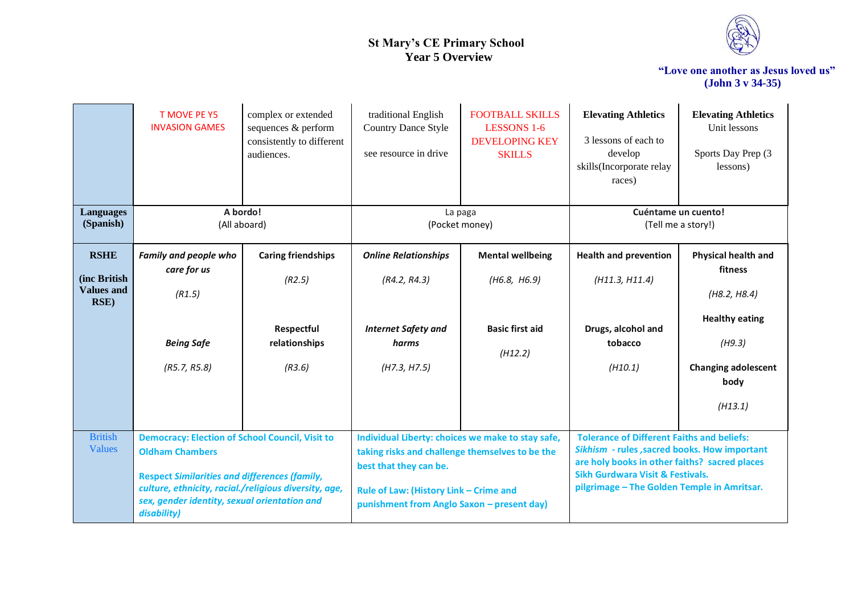

|                                                          | <b>T MOVE PE Y5</b><br><b>INVASION GAMES</b>                                                                                                                                                                                                                     | complex or extended<br>sequences & perform<br>consistently to different<br>audiences. | traditional English<br><b>Country Dance Style</b><br>see resource in drive                                                                                                                                             | <b>FOOTBALL SKILLS</b><br><b>LESSONS 1-6</b><br><b>DEVELOPING KEY</b><br><b>SKILLS</b> | <b>Elevating Athletics</b><br>3 lessons of each to<br>develop<br>skills(Incorporate relay<br>races)                                                                                                                                              | <b>Elevating Athletics</b><br>Unit lessons<br>Sports Day Prep (3<br>lessons)                                                              |
|----------------------------------------------------------|------------------------------------------------------------------------------------------------------------------------------------------------------------------------------------------------------------------------------------------------------------------|---------------------------------------------------------------------------------------|------------------------------------------------------------------------------------------------------------------------------------------------------------------------------------------------------------------------|----------------------------------------------------------------------------------------|--------------------------------------------------------------------------------------------------------------------------------------------------------------------------------------------------------------------------------------------------|-------------------------------------------------------------------------------------------------------------------------------------------|
| <b>Languages</b><br>(Spanish)                            | A bordo!<br>(All aboard)                                                                                                                                                                                                                                         |                                                                                       | La paga<br>(Pocket money)                                                                                                                                                                                              |                                                                                        | Cuéntame un cuento!<br>(Tell me a story!)                                                                                                                                                                                                        |                                                                                                                                           |
| <b>RSHE</b><br>(inc British<br><b>Values and</b><br>RSE) | <b>Family and people who</b><br>care for us<br>(R1.5)<br><b>Being Safe</b><br>(R5.7, R5.8)                                                                                                                                                                       | <b>Caring friendships</b><br>(R2.5)<br>Respectful<br>relationships<br>(R3.6)          | <b>Online Relationships</b><br>(R4.2, R4.3)<br><b>Internet Safety and</b><br>harms<br>(H7.3, H7.5)                                                                                                                     | <b>Mental wellbeing</b><br>(H6.8, H6.9)<br><b>Basic first aid</b><br>(H12.2)           | <b>Health and prevention</b><br>(H11.3, H11.4)<br>Drugs, alcohol and<br>tobacco<br>(H10.1)                                                                                                                                                       | <b>Physical health and</b><br>fitness<br>(H8.2, H8.4)<br><b>Healthy eating</b><br>(H9.3)<br><b>Changing adolescent</b><br>body<br>(H13.1) |
| <b>British</b><br>Values                                 | <b>Democracy: Election of School Council, Visit to</b><br><b>Oldham Chambers</b><br><b>Respect Similarities and differences (family,</b><br>culture, ethnicity, racial./religious diversity, age,<br>sex, gender identity, sexual orientation and<br>disability) |                                                                                       | Individual Liberty: choices we make to stay safe,<br>taking risks and challenge themselves to be the<br>best that they can be.<br>Rule of Law: (History Link - Crime and<br>punishment from Anglo Saxon - present day) |                                                                                        | <b>Tolerance of Different Faiths and beliefs:</b><br>Sikhism - rules, sacred books. How important<br>are holy books in other faiths? sacred places<br><b>Sikh Gurdwara Visit &amp; Festivals.</b><br>pilgrimage - The Golden Temple in Amritsar. |                                                                                                                                           |